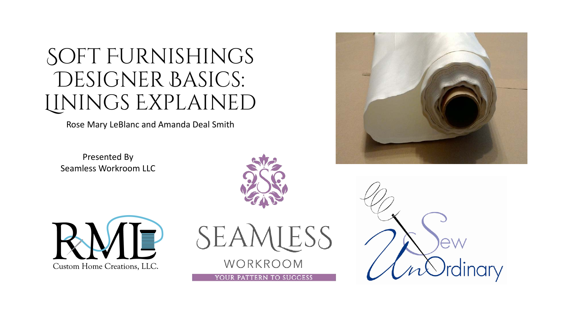# Soft Furnishings DESIGNER BASICS: Linings Explained

Rose Mary LeBlanc and Amanda Deal Smith

Presented By Seamless Workroom LLC







YOUR PATTERN TO SUCCESS



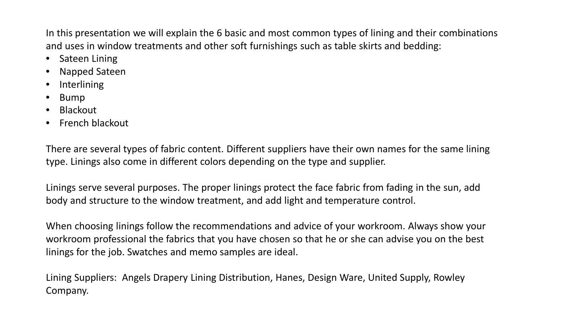In this presentation we will explain the 6 basic and most common types of lining and their combinations and uses in window treatments and other soft furnishings such as table skirts and bedding:

- Sateen Lining
- Napped Sateen
- **Interlining**
- Bump
- Blackout
- French blackout

There are several types of fabric content. Different suppliers have their own names for the same lining type. Linings also come in different colors depending on the type and supplier.

Linings serve several purposes. The proper linings protect the face fabric from fading in the sun, add body and structure to the window treatment, and add light and temperature control.

When choosing linings follow the recommendations and advice of your workroom. Always show your workroom professional the fabrics that you have chosen so that he or she can advise you on the best linings for the job. Swatches and memo samples are ideal.

Lining Suppliers: Angels Drapery Lining Distribution, Hanes, Design Ware, United Supply, Rowley Company.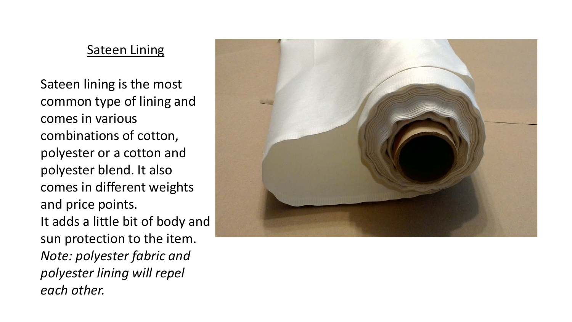# **Sateen Lining**

Sateen lining is the most common type of lining and comes in various combinations of cotton, polyester or a cotton and polyester blend. It also comes in different weights and price points. It adds a little bit of body and sun protection to the item. *Note: polyester fabric and polyester lining will repel each other.*

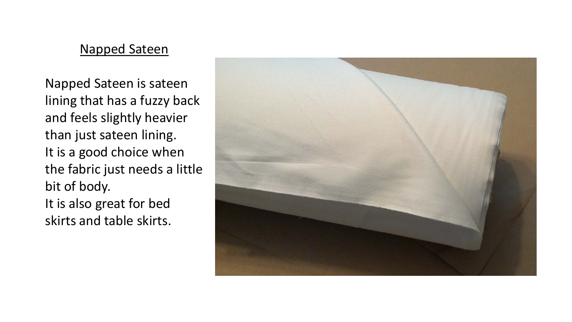### Napped Sateen

Napped Sateen is sateen lining that has a fuzzy back and feels slightly heavier than just sateen lining. It is a good choice when the fabric just needs a little bit of body. It is also great for bed skirts and table skirts.

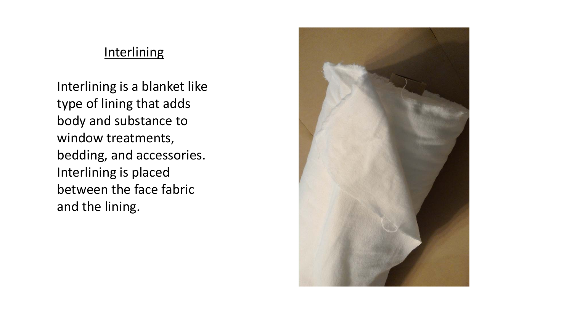## **Interlining**

Interlining is a blanket like type of lining that adds body and substance to window treatments, bedding, and accessories. Interlining is placed between the face fabric and the lining.

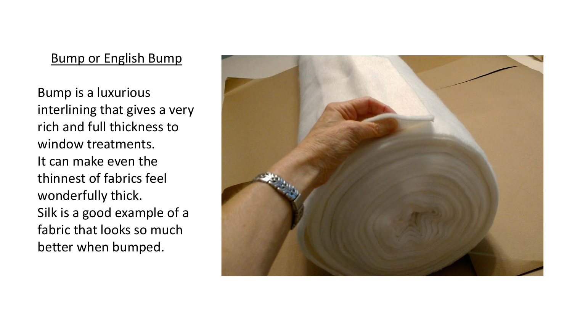## Bump or English Bump

Bump is a luxurious interlining that gives a very rich and full thickness to window treatments. It can make even the thinnest of fabrics feel wonderfully thick. Silk is a good example of a fabric that looks so much better when bumped.

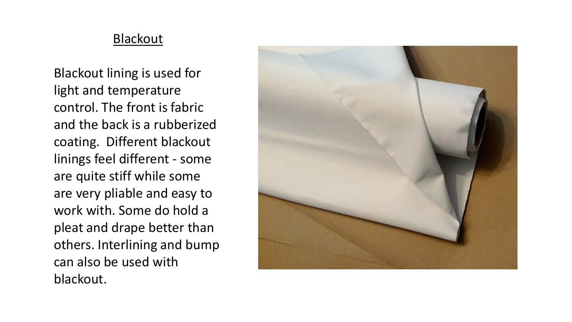### **Blackout**

Blackout lining is used for light and temperature control. The front is fabric and the back is a rubberized coating. Different blackout linings feel different - some are quite stiff while some are very pliable and easy to work with. Some do hold a pleat and drape better than others. Interlining and bump can also be used with blackout.

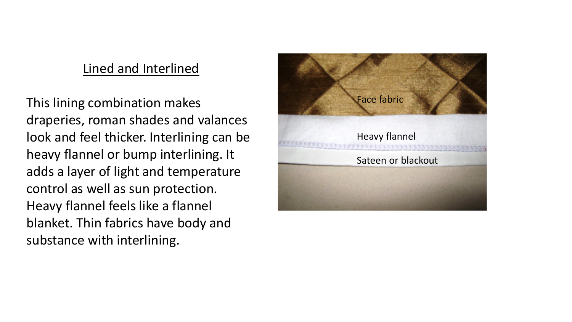## Lined and Interlined

This lining combination makes draperies, roman shades and valances look and feel thicker. Interlining can be heavy flannel or bump interlining. It adds a layer of light and temperature control as well as sun protection. Heavy flannel feels like a flannel blanket. Thin fabrics have body and substance with interlining.

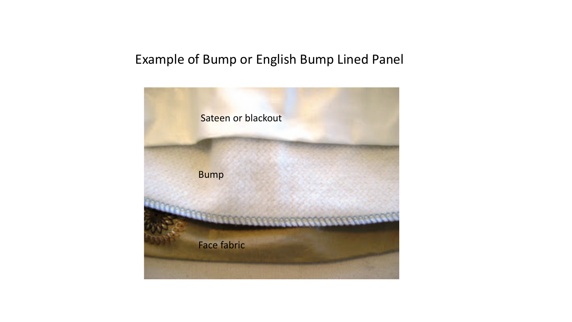# Example of Bump or English Bump Lined Panel

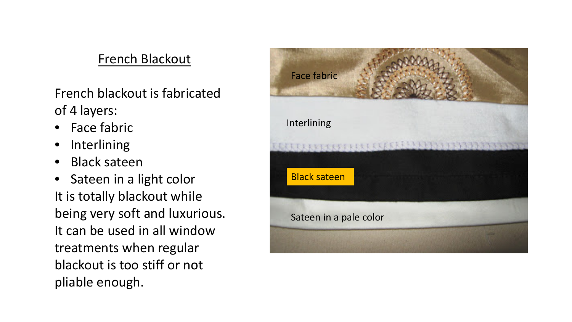# French Blackout

French blackout is fabricated of 4 layers:

- Face fabric
- Interlining
- Black sateen
- Sateen in a light color It is totally blackout while being very soft and luxurious. It can be used in all window treatments when regular blackout is too stiff or not pliable enough.